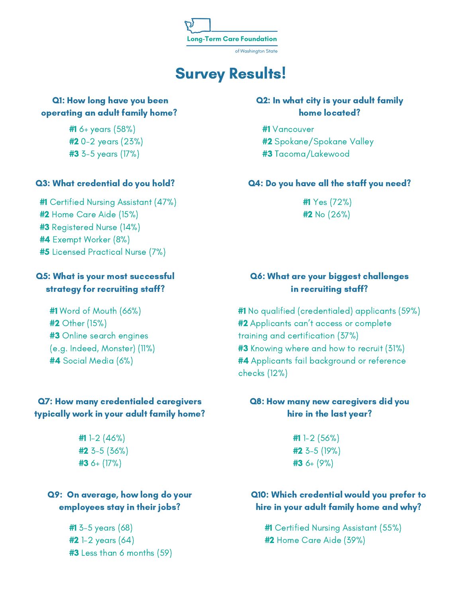

# Survey Results!

#### Q1: How long have you been operating an adult family home?

#1 6+ years (58%) #2 0-2 years (23%) #3 3-5 years (17%)

#### Q3: What credential do you hold?

#1 Certified Nursing Assistant (47%) #2 Home Care Aide (15%) #3 Registered Nurse (14%) #4 Exempt Worker (8%) #5 Licensed Practical Nurse (7%)

#### Q5: What is your most successful strategy for recruiting staff?

#1 Word of Mouth (66%) #2 Other (15%) #3 Online search engines (e.g. Indeed, Monster) (11%) #4 Social Media (6%)

# Q7: How many credentialed caregivers typically work in your adult family home?

 $#11 - 2(46%)$  $#2$  3-5 (36%)  $#3$  6+ (17%)

# Q9: On average, how long do your employees stay in their jobs?

#1 3-5 years (68)  $#2 1 - 2$  years  $(64)$ **#3** Less than 6 months (59)

## Q2: In what city is your adult family home located?

#1 Vancouver #2 Spokane/Spokane Valley #3 Tacoma/Lakewood

#### Q4: Do you have all the staff you need?

#1 Yes (72%) #2 No (26%)

## Q6: What are your biggest challenges in recruiting staff?

#1 No qualified (credentialed) applicants (59%) **#2** Applicants can't access or complete training and certification (37%) **#3** Knowing where and how to recruit (31%) **#4** Applicants fail background or reference checks (12%)

# Q8: How many new caregivers did you hire in the last year?

#1 1-2 (56%) #2 3-5 (19%) #3 6+ (9%)

#### Q10: Which credential would you prefer to hire in your adult family home and why?

#1 Certified Nursing Assistant (55%) #2 Home Care Aide (39%)